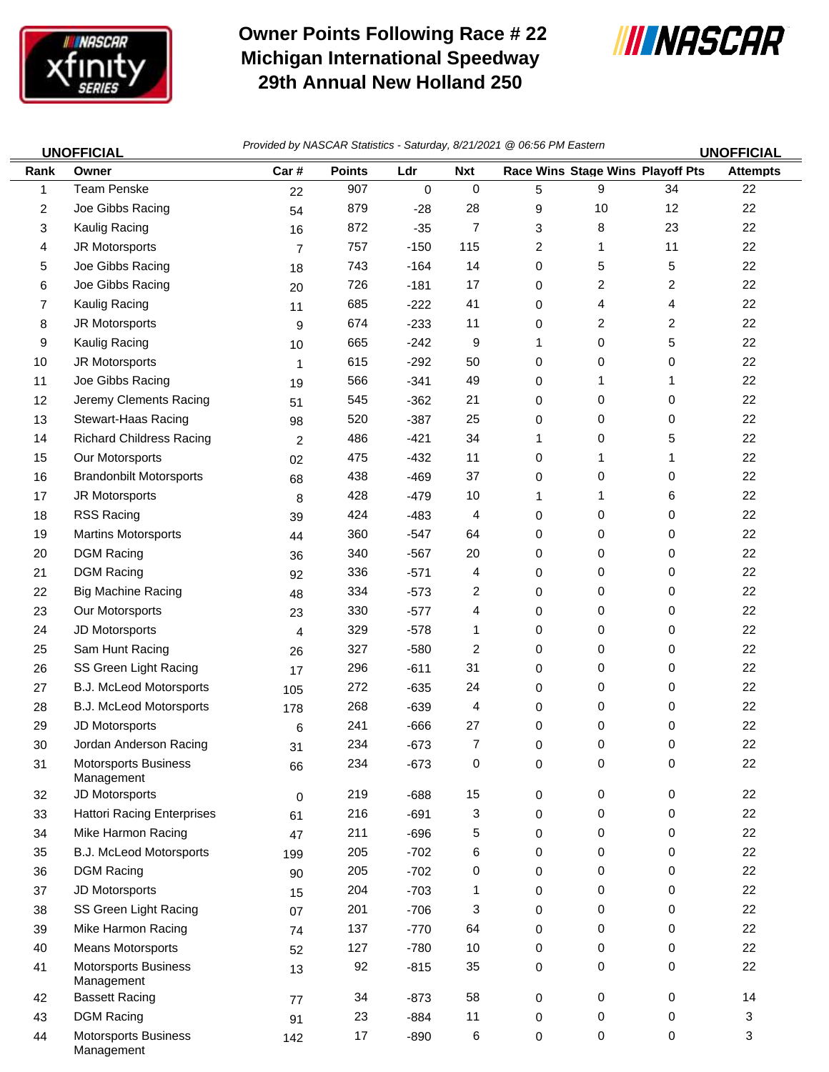

Management

## **Owner Points Following Race # 22 Michigan International Speedway 29th Annual New Holland 250**



| <b>UNOFFICIAL</b> |                                           | Provided by NASCAR Statistics - Saturday, 8/21/2021 @ 06:56 PM Eastern<br><b>UNOFFICIAL</b> |               |           |             |   |                                  |                         |                 |
|-------------------|-------------------------------------------|---------------------------------------------------------------------------------------------|---------------|-----------|-------------|---|----------------------------------|-------------------------|-----------------|
| Rank              | Owner                                     | Car#                                                                                        | <b>Points</b> | Ldr       | <b>Nxt</b>  |   | Race Wins Stage Wins Playoff Pts |                         | <b>Attempts</b> |
| 1                 | <b>Team Penske</b>                        | 22                                                                                          | 907           | $\pmb{0}$ | $\mathbf 0$ | 5 | 9                                | 34                      | 22              |
| 2                 | Joe Gibbs Racing                          | 54                                                                                          | 879           | $-28$     | 28          | 9 | 10                               | 12                      | 22              |
| 3                 | Kaulig Racing                             | 16                                                                                          | 872           | $-35$     | 7           | 3 | 8                                | 23                      | 22              |
| 4                 | JR Motorsports                            | $\overline{7}$                                                                              | 757           | $-150$    | 115         | 2 | 1                                | 11                      | 22              |
| 5                 | Joe Gibbs Racing                          | 18                                                                                          | 743           | $-164$    | 14          | 0 | 5                                | 5                       | 22              |
| 6                 | Joe Gibbs Racing                          | 20                                                                                          | 726           | $-181$    | 17          | 0 | $\overline{c}$                   | $\overline{\mathbf{c}}$ | 22              |
| 7                 | Kaulig Racing                             | 11                                                                                          | 685           | $-222$    | 41          | 0 | 4                                | 4                       | 22              |
| 8                 | JR Motorsports                            | 9                                                                                           | 674           | $-233$    | 11          | 0 | 2                                | 2                       | 22              |
| 9                 | Kaulig Racing                             | 10                                                                                          | 665           | $-242$    | 9           | 1 | 0                                | 5                       | 22              |
| 10                | JR Motorsports                            | 1                                                                                           | 615           | $-292$    | 50          | 0 | 0                                | 0                       | 22              |
| 11                | Joe Gibbs Racing                          | 19                                                                                          | 566           | $-341$    | 49          | 0 | 1                                | 1                       | 22              |
| 12                | Jeremy Clements Racing                    | 51                                                                                          | 545           | $-362$    | 21          | 0 | 0                                | 0                       | 22              |
| 13                | Stewart-Haas Racing                       | 98                                                                                          | 520           | $-387$    | 25          | 0 | 0                                | 0                       | 22              |
| 14                | <b>Richard Childress Racing</b>           | $\overline{2}$                                                                              | 486           | $-421$    | 34          | 1 | 0                                | 5                       | 22              |
| 15                | Our Motorsports                           | 02                                                                                          | 475           | $-432$    | 11          | 0 | 1                                | 1                       | 22              |
| 16                | <b>Brandonbilt Motorsports</b>            | 68                                                                                          | 438           | $-469$    | 37          | 0 | 0                                | 0                       | 22              |
| 17                | JR Motorsports                            | 8                                                                                           | 428           | $-479$    | 10          | 1 | 1                                | 6                       | 22              |
| 18                | <b>RSS Racing</b>                         | 39                                                                                          | 424           | $-483$    | 4           | 0 | 0                                | 0                       | 22              |
| 19                | <b>Martins Motorsports</b>                | 44                                                                                          | 360           | $-547$    | 64          | 0 | 0                                | 0                       | 22              |
| 20                | <b>DGM Racing</b>                         | 36                                                                                          | 340           | $-567$    | 20          | 0 | 0                                | 0                       | 22              |
| 21                | <b>DGM Racing</b>                         | 92                                                                                          | 336           | $-571$    | 4           | 0 | 0                                | 0                       | 22              |
| 22                | <b>Big Machine Racing</b>                 | 48                                                                                          | 334           | $-573$    | 2           | 0 | 0                                | 0                       | 22              |
| 23                | Our Motorsports                           | 23                                                                                          | 330           | $-577$    | 4           | 0 | 0                                | 0                       | 22              |
| 24                | JD Motorsports                            | 4                                                                                           | 329           | $-578$    | 1           | 0 | 0                                | 0                       | 22              |
| 25                | Sam Hunt Racing                           | 26                                                                                          | 327           | $-580$    | 2           | 0 | 0                                | 0                       | 22              |
| 26                | SS Green Light Racing                     | 17                                                                                          | 296           | $-611$    | 31          | 0 | 0                                | 0                       | 22              |
| 27                | B.J. McLeod Motorsports                   | 105                                                                                         | 272           | $-635$    | 24          | 0 | 0                                | 0                       | 22              |
| 28                | B.J. McLeod Motorsports                   | 178                                                                                         | 268           | $-639$    | 4           | 0 | 0                                | 0                       | 22              |
| 29                | JD Motorsports                            | 6                                                                                           | 241           | -666      | 27          | 0 | 0                                | 0                       | 22              |
| 30                | Jordan Anderson Racing                    | 31                                                                                          | 234           | $-673$    | 7           | 0 | 0                                | 0                       | 22              |
| 31                | <b>Motorsports Business</b><br>Management | 66                                                                                          | 234           | $-673$    | 0           | 0 | 0                                | 0                       | 22              |
| 32                | JD Motorsports                            | $\mathbf 0$                                                                                 | 219           | $-688$    | 15          | 0 | 0                                | 0                       | 22              |
| 33                | <b>Hattori Racing Enterprises</b>         | 61                                                                                          | 216           | $-691$    | 3           | 0 | 0                                | 0                       | 22              |
| 34                | Mike Harmon Racing                        | 47                                                                                          | 211           | $-696$    | 5           | 0 | 0                                | 0                       | 22              |
| 35                | B.J. McLeod Motorsports                   | 199                                                                                         | 205           | $-702$    | 6           | 0 | 0                                | 0                       | 22              |
| 36                | <b>DGM Racing</b>                         | 90                                                                                          | 205           | $-702$    | 0           | 0 | 0                                | 0                       | 22              |
| 37                | JD Motorsports                            | 15                                                                                          | 204           | $-703$    | 1           | 0 | 0                                | 0                       | 22              |
| 38                | SS Green Light Racing                     | 07                                                                                          | 201           | $-706$    | 3           | 0 | 0                                | 0                       | 22              |
| 39                | Mike Harmon Racing                        | 74                                                                                          | 137           | $-770$    | 64          | 0 | 0                                | 0                       | 22              |
| 40                | <b>Means Motorsports</b>                  | 52                                                                                          | 127           | $-780$    | 10          | 0 | 0                                | 0                       | 22              |
| 41                | <b>Motorsports Business</b><br>Management | 13                                                                                          | 92            | $-815$    | 35          | 0 | 0                                | 0                       | 22              |
| 42                | <b>Bassett Racing</b>                     | 77                                                                                          | 34            | $-873$    | 58          | 0 | 0                                | 0                       | 14              |
| 43                | <b>DGM Racing</b>                         | 91                                                                                          | 23            | $-884$    | 11          | 0 | 0                                | 0                       | 3               |
| 44                | <b>Motorsports Business</b>               | 142                                                                                         | 17            | $-890$    | 6           | 0 | 0                                | 0                       | 3               |